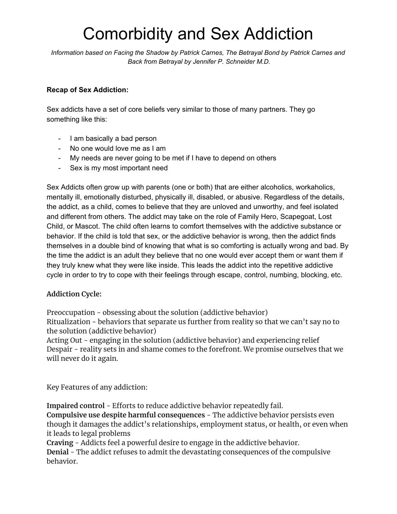## Comorbidity and Sex Addiction

*Information based on Facing the Shadow by Patrick Carnes, The Betrayal Bond by Patrick Carnes and Back from Betrayal by Jennifer P. Schneider M.D.*

## **Recap of Sex Addiction:**

Sex addicts have a set of core beliefs very similar to those of many partners. They go something like this:

- I am basically a bad person
- No one would love me as I am
- My needs are never going to be met if I have to depend on others
- Sex is my most important need

Sex Addicts often grow up with parents (one or both) that are either alcoholics, workaholics, mentally ill, emotionally disturbed, physically ill, disabled, or abusive. Regardless of the details, the addict, as a child, comes to believe that they are unloved and unworthy, and feel isolated and different from others. The addict may take on the role of Family Hero, Scapegoat, Lost Child, or Mascot. The child often learns to comfort themselves with the addictive substance or behavior. If the child is told that sex, or the addictive behavior is wrong, then the addict finds themselves in a double bind of knowing that what is so comforting is actually wrong and bad. By the time the addict is an adult they believe that no one would ever accept them or want them if they truly knew what they were like inside. This leads the addict into the repetitive addictive cycle in order to try to cope with their feelings through escape, control, numbing, blocking, etc.

## **Addiction Cycle:**

Preoccupation - obsessing about the solution (addictive behavior) Ritualization - behaviors that separate us further from reality so that we can't say no to the solution (addictive behavior)

Acting Out - engaging in the solution (addictive behavior) and experiencing relief Despair - reality sets in and shame comes to the forefront. We promise ourselves that we will never do it again.

Key Features of any addiction:

**Impaired control** - Efforts to reduce addictive behavior repeatedly fail. **Compulsive use despite harmful consequences** - The addictive behavior persists even though it damages the addict's relationships, employment status, or health, or even when it leads to legal problems

**Craving** - Addicts feel a powerful desire to engage in the addictive behavior. **Denial** - The addict refuses to admit the devastating consequences of the compulsive behavior.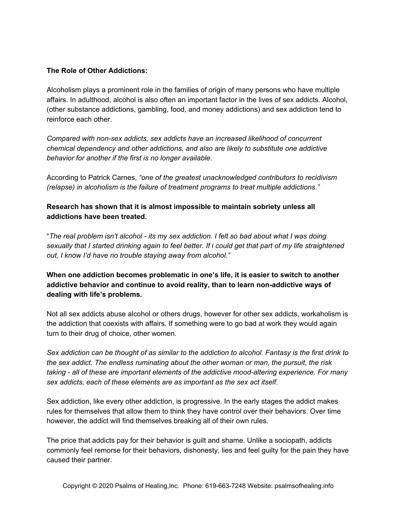## **The Role of Other Addictions:**

Alcoholism plays a prominent role in the families of origin of many persons who have multiple affairs. In adulthood, alcohol is also often an important factor in the lives of sex addicts. Alcohol, (other substance addictions, gambling, food, and money addictions) and sex addiction tend to reinforce each other.

*Compared with non-sex addicts, sex addicts have an increased likelihood of concurrent chemical dependency and other addictions, and also are likely to substitute one addictive behavior for another if the first is no longer available.*

According to Patrick Carnes, *"one of the greatest unacknowledged contributors to recidivism (relapse) in alcoholism is the failure of treatment programs to treat multiple addictions."*

**Research has shown that it is almost impossible to maintain sobriety unless all addictions have been treated.**

"The real problem isn't alcohol - its my sex addiction. I felt so bad about what I was doing sexually that I started drinking again to feel better. If i could get that part of my life straightened *out, I know I'd have no trouble staying away from alcohol."*

**When one addiction becomes problematic in one's life, it is easier to switch to another addictive behavior and continue to avoid reality, than to learn non-addictive ways of dealing with life's problems.**

Not all sex addicts abuse alcohol or others drugs, however for other sex addicts, workaholism is the addiction that coexists with affairs. If something were to go bad at work they would again turn to their drug of choice, other women.

Sex addiction can be thought of as similar to the addiction to alcohol. Fantasy is the first drink to *the sex addict. The endless ruminating about the other woman or man, the pursuit, the risk taking - all of these are important elements of the addictive mood-altering experience. For many sex addicts, each of these elements are as important as the sex act itself*.

Sex addiction, like every other addiction, is progressive. In the early stages the addict makes rules for themselves that allow them to think they have control over their behaviors. Over time however, the addict will find themselves breaking all of their own rules.

The price that addicts pay for their behavior is guilt and shame. Unlike a sociopath, addicts commonly feel remorse for their behaviors, dishonesty, lies and feel guilty for the pain they have caused their partner.